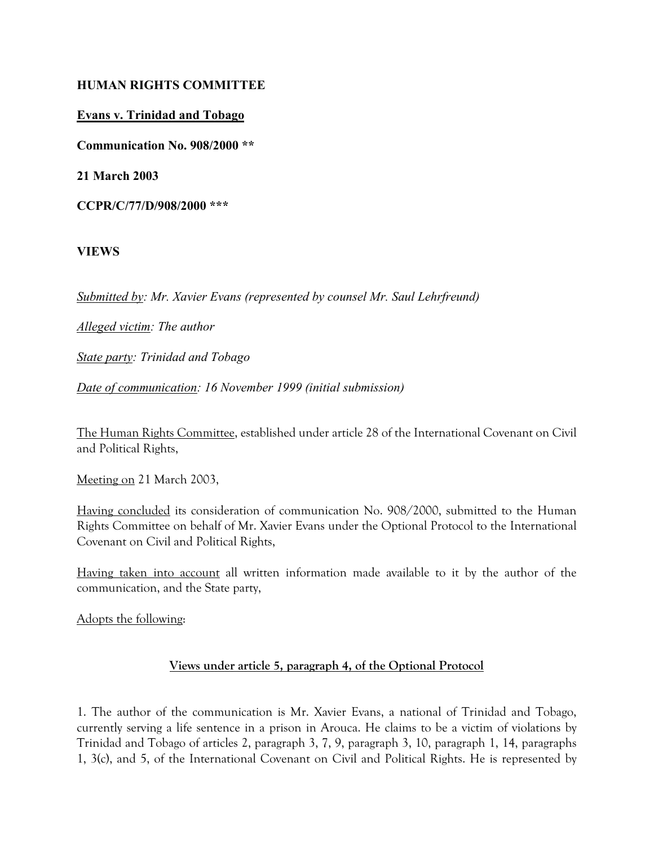### HUMAN RIGHTS COMMITTEE

#### Evans v. Trinidad and Tobago

Communication No. 908/2000 \*\*

21 March 2003

CCPR/C/77/D/908/2000 \*\*\*

#### VIEWS

Submitted by: Mr. Xavier Evans (represented by counsel Mr. Saul Lehrfreund)

Alleged victim: The author

State party: Trinidad and Tobago

Date of communication: 16 November 1999 (initial submission)

The Human Rights Committee, established under article 28 of the International Covenant on Civil and Political Rights,

Meeting on 21 March 2003,

Having concluded its consideration of communication No. 908/2000, submitted to the Human Rights Committee on behalf of Mr. Xavier Evans under the Optional Protocol to the International Covenant on Civil and Political Rights,

Having taken into account all written information made available to it by the author of the communication, and the State party,

Adopts the following:

#### Views under article 5, paragraph 4, of the Optional Protocol

1. The author of the communication is Mr. Xavier Evans, a national of Trinidad and Tobago, currently serving a life sentence in a prison in Arouca. He claims to be a victim of violations by Trinidad and Tobago of articles 2, paragraph 3, 7, 9, paragraph 3, 10, paragraph 1, 14, paragraphs 1, 3(c), and 5, of the International Covenant on Civil and Political Rights. He is represented by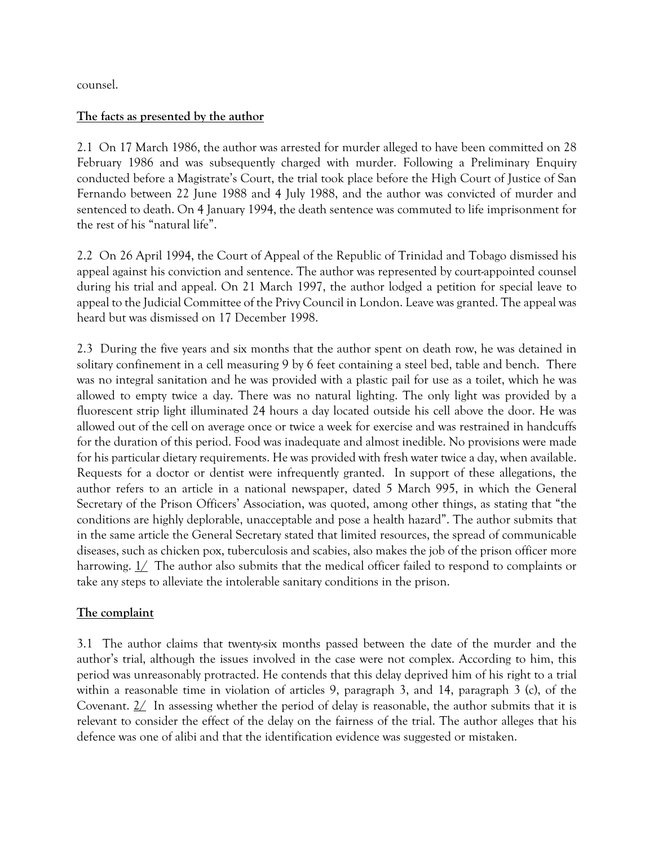counsel.

#### The facts as presented by the author

2.1 On 17 March 1986, the author was arrested for murder alleged to have been committed on 28 February 1986 and was subsequently charged with murder. Following a Preliminary Enquiry conducted before a Magistrate's Court, the trial took place before the High Court of Justice of San Fernando between 22 June 1988 and 4 July 1988, and the author was convicted of murder and sentenced to death. On 4 January 1994, the death sentence was commuted to life imprisonment for the rest of his "natural life".

2.2 On 26 April 1994, the Court of Appeal of the Republic of Trinidad and Tobago dismissed his appeal against his conviction and sentence. The author was represented by court-appointed counsel during his trial and appeal. On 21 March 1997, the author lodged a petition for special leave to appeal to the Judicial Committee of the Privy Council in London. Leave was granted. The appeal was heard but was dismissed on 17 December 1998.

2.3 During the five years and six months that the author spent on death row, he was detained in solitary confinement in a cell measuring 9 by 6 feet containing a steel bed, table and bench. There was no integral sanitation and he was provided with a plastic pail for use as a toilet, which he was allowed to empty twice a day. There was no natural lighting. The only light was provided by a fluorescent strip light illuminated 24 hours a day located outside his cell above the door. He was allowed out of the cell on average once or twice a week for exercise and was restrained in handcuffs for the duration of this period. Food was inadequate and almost inedible. No provisions were made for his particular dietary requirements. He was provided with fresh water twice a day, when available. Requests for a doctor or dentist were infrequently granted. In support of these allegations, the author refers to an article in a national newspaper, dated 5 March 995, in which the General Secretary of the Prison Officers' Association, was quoted, among other things, as stating that "the conditions are highly deplorable, unacceptable and pose a health hazard". The author submits that in the same article the General Secretary stated that limited resources, the spread of communicable diseases, such as chicken pox, tuberculosis and scabies, also makes the job of the prison officer more harrowing. 1/ The author also submits that the medical officer failed to respond to complaints or take any steps to alleviate the intolerable sanitary conditions in the prison.

### The complaint

3.1 The author claims that twenty-six months passed between the date of the murder and the author's trial, although the issues involved in the case were not complex. According to him, this period was unreasonably protracted. He contends that this delay deprived him of his right to a trial within a reasonable time in violation of articles 9, paragraph 3, and 14, paragraph 3 (c), of the Covenant.  $2/$  In assessing whether the period of delay is reasonable, the author submits that it is relevant to consider the effect of the delay on the fairness of the trial. The author alleges that his defence was one of alibi and that the identification evidence was suggested or mistaken.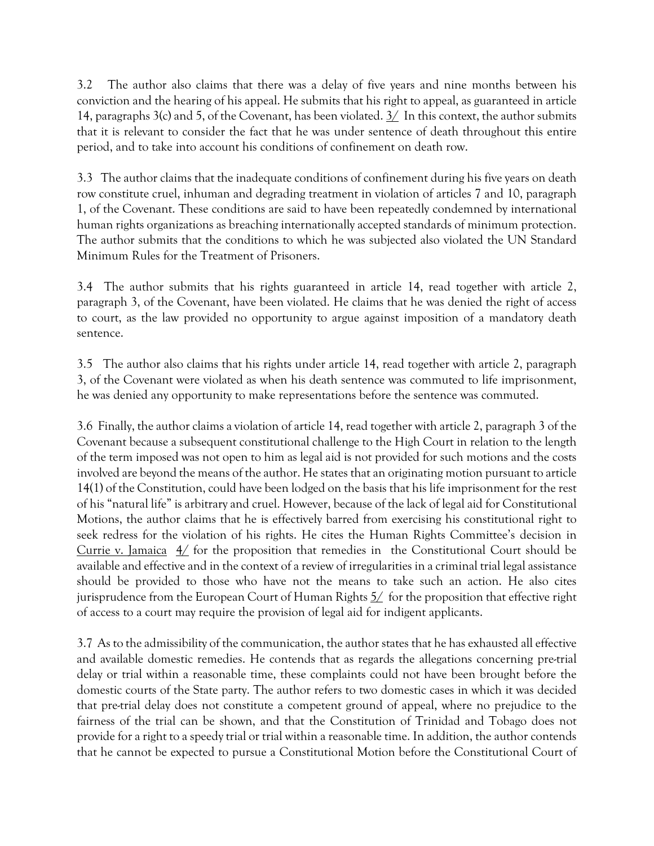3.2 The author also claims that there was a delay of five years and nine months between his conviction and the hearing of his appeal. He submits that his right to appeal, as guaranteed in article 14, paragraphs 3(c) and 5, of the Covenant, has been violated.  $3/$  In this context, the author submits that it is relevant to consider the fact that he was under sentence of death throughout this entire period, and to take into account his conditions of confinement on death row.

3.3 The author claims that the inadequate conditions of confinement during his five years on death row constitute cruel, inhuman and degrading treatment in violation of articles 7 and 10, paragraph 1, of the Covenant. These conditions are said to have been repeatedly condemned by international human rights organizations as breaching internationally accepted standards of minimum protection. The author submits that the conditions to which he was subjected also violated the UN Standard Minimum Rules for the Treatment of Prisoners.

3.4 The author submits that his rights guaranteed in article 14, read together with article 2, paragraph 3, of the Covenant, have been violated. He claims that he was denied the right of access to court, as the law provided no opportunity to argue against imposition of a mandatory death sentence.

3.5 The author also claims that his rights under article 14, read together with article 2, paragraph 3, of the Covenant were violated as when his death sentence was commuted to life imprisonment, he was denied any opportunity to make representations before the sentence was commuted.

3.6 Finally, the author claims a violation of article 14, read together with article 2, paragraph 3 of the Covenant because a subsequent constitutional challenge to the High Court in relation to the length of the term imposed was not open to him as legal aid is not provided for such motions and the costs involved are beyond the means of the author. He states that an originating motion pursuant to article 14(1) of the Constitution, could have been lodged on the basis that his life imprisonment for the rest of his "natural life" is arbitrary and cruel. However, because of the lack of legal aid for Constitutional Motions, the author claims that he is effectively barred from exercising his constitutional right to seek redress for the violation of his rights. He cites the Human Rights Committee's decision in Currie v. Jamaica  $4/$  for the proposition that remedies in the Constitutional Court should be available and effective and in the context of a review of irregularities in a criminal trial legal assistance should be provided to those who have not the means to take such an action. He also cites jurisprudence from the European Court of Human Rights  $5/$  for the proposition that effective right of access to a court may require the provision of legal aid for indigent applicants.

3.7 As to the admissibility of the communication, the author states that he has exhausted all effective and available domestic remedies. He contends that as regards the allegations concerning pre-trial delay or trial within a reasonable time, these complaints could not have been brought before the domestic courts of the State party. The author refers to two domestic cases in which it was decided that pre-trial delay does not constitute a competent ground of appeal, where no prejudice to the fairness of the trial can be shown, and that the Constitution of Trinidad and Tobago does not provide for a right to a speedy trial or trial within a reasonable time. In addition, the author contends that he cannot be expected to pursue a Constitutional Motion before the Constitutional Court of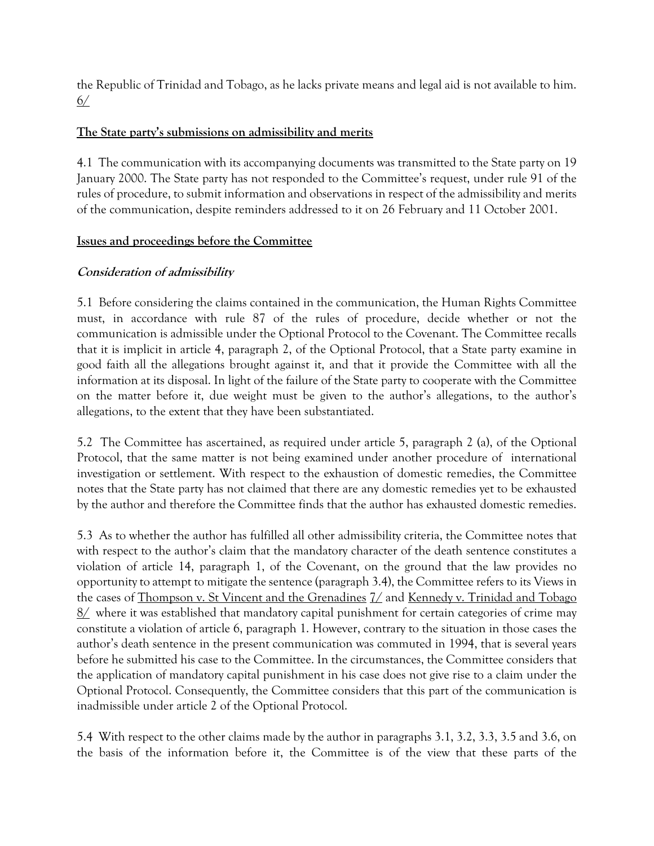the Republic of Trinidad and Tobago, as he lacks private means and legal aid is not available to him. 6/

## The State party's submissions on admissibility and merits

4.1 The communication with its accompanying documents was transmitted to the State party on 19 January 2000. The State party has not responded to the Committee's request, under rule 91 of the rules of procedure, to submit information and observations in respect of the admissibility and merits of the communication, despite reminders addressed to it on 26 February and 11 October 2001.

### Issues and proceedings before the Committee

### Consideration of admissibility

5.1 Before considering the claims contained in the communication, the Human Rights Committee must, in accordance with rule 87 of the rules of procedure, decide whether or not the communication is admissible under the Optional Protocol to the Covenant. The Committee recalls that it is implicit in article 4, paragraph 2, of the Optional Protocol, that a State party examine in good faith all the allegations brought against it, and that it provide the Committee with all the information at its disposal. In light of the failure of the State party to cooperate with the Committee on the matter before it, due weight must be given to the author's allegations, to the author's allegations, to the extent that they have been substantiated.

5.2 The Committee has ascertained, as required under article 5, paragraph 2 (a), of the Optional Protocol, that the same matter is not being examined under another procedure of international investigation or settlement. With respect to the exhaustion of domestic remedies, the Committee notes that the State party has not claimed that there are any domestic remedies yet to be exhausted by the author and therefore the Committee finds that the author has exhausted domestic remedies.

5.3 As to whether the author has fulfilled all other admissibility criteria, the Committee notes that with respect to the author's claim that the mandatory character of the death sentence constitutes a violation of article 14, paragraph 1, of the Covenant, on the ground that the law provides no opportunity to attempt to mitigate the sentence (paragraph 3.4), the Committee refers to its Views in the cases of Thompson v. St Vincent and the Grenadines 7/ and Kennedy v. Trinidad and Tobago 8/ where it was established that mandatory capital punishment for certain categories of crime may constitute a violation of article 6, paragraph 1. However, contrary to the situation in those cases the author's death sentence in the present communication was commuted in 1994, that is several years before he submitted his case to the Committee. In the circumstances, the Committee considers that the application of mandatory capital punishment in his case does not give rise to a claim under the Optional Protocol. Consequently, the Committee considers that this part of the communication is inadmissible under article 2 of the Optional Protocol.

5.4 With respect to the other claims made by the author in paragraphs 3.1, 3.2, 3.3, 3.5 and 3.6, on the basis of the information before it, the Committee is of the view that these parts of the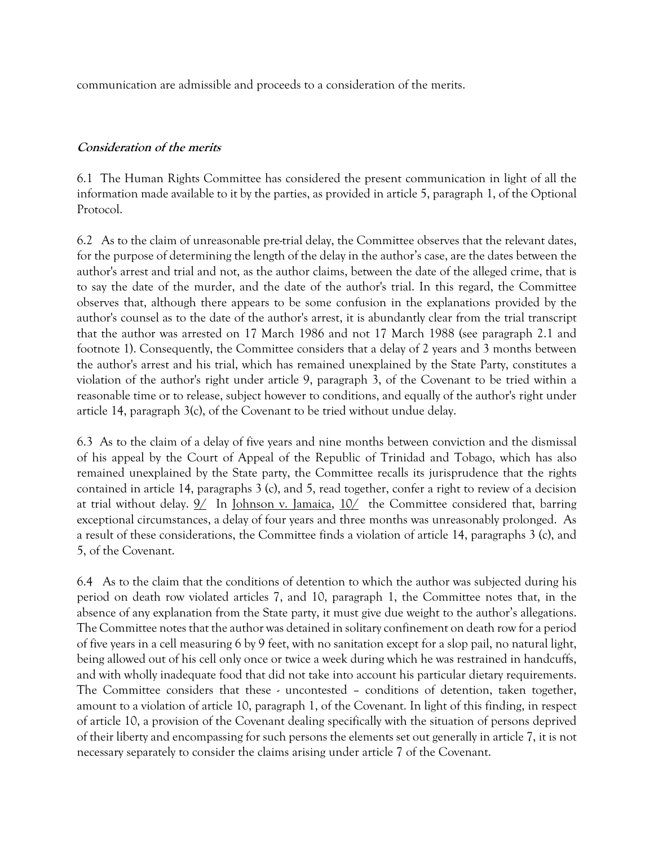communication are admissible and proceeds to a consideration of the merits.

#### Consideration of the merits

6.1 The Human Rights Committee has considered the present communication in light of all the information made available to it by the parties, as provided in article 5, paragraph 1, of the Optional Protocol.

6.2 As to the claim of unreasonable pre-trial delay, the Committee observes that the relevant dates, for the purpose of determining the length of the delay in the author's case, are the dates between the author's arrest and trial and not, as the author claims, between the date of the alleged crime, that is to say the date of the murder, and the date of the author's trial. In this regard, the Committee observes that, although there appears to be some confusion in the explanations provided by the author's counsel as to the date of the author's arrest, it is abundantly clear from the trial transcript that the author was arrested on 17 March 1986 and not 17 March 1988 (see paragraph 2.1 and footnote 1). Consequently, the Committee considers that a delay of 2 years and 3 months between the author's arrest and his trial, which has remained unexplained by the State Party, constitutes a violation of the author's right under article 9, paragraph 3, of the Covenant to be tried within a reasonable time or to release, subject however to conditions, and equally of the author's right under article 14, paragraph 3(c), of the Covenant to be tried without undue delay.

6.3 As to the claim of a delay of five years and nine months between conviction and the dismissal of his appeal by the Court of Appeal of the Republic of Trinidad and Tobago, which has also remained unexplained by the State party, the Committee recalls its jurisprudence that the rights contained in article 14, paragraphs 3 (c), and 5, read together, confer a right to review of a decision at trial without delay.  $9/$  In Johnson v. Jamaica,  $10/$  the Committee considered that, barring exceptional circumstances, a delay of four years and three months was unreasonably prolonged. As a result of these considerations, the Committee finds a violation of article 14, paragraphs 3 (c), and 5, of the Covenant.

6.4 As to the claim that the conditions of detention to which the author was subjected during his period on death row violated articles 7, and 10, paragraph 1, the Committee notes that, in the absence of any explanation from the State party, it must give due weight to the author's allegations. The Committee notes that the author was detained in solitary confinement on death row for a period of five years in a cell measuring 6 by 9 feet, with no sanitation except for a slop pail, no natural light, being allowed out of his cell only once or twice a week during which he was restrained in handcuffs, and with wholly inadequate food that did not take into account his particular dietary requirements. The Committee considers that these - uncontested – conditions of detention, taken together, amount to a violation of article 10, paragraph 1, of the Covenant. In light of this finding, in respect of article 10, a provision of the Covenant dealing specifically with the situation of persons deprived of their liberty and encompassing for such persons the elements set out generally in article 7, it is not necessary separately to consider the claims arising under article 7 of the Covenant.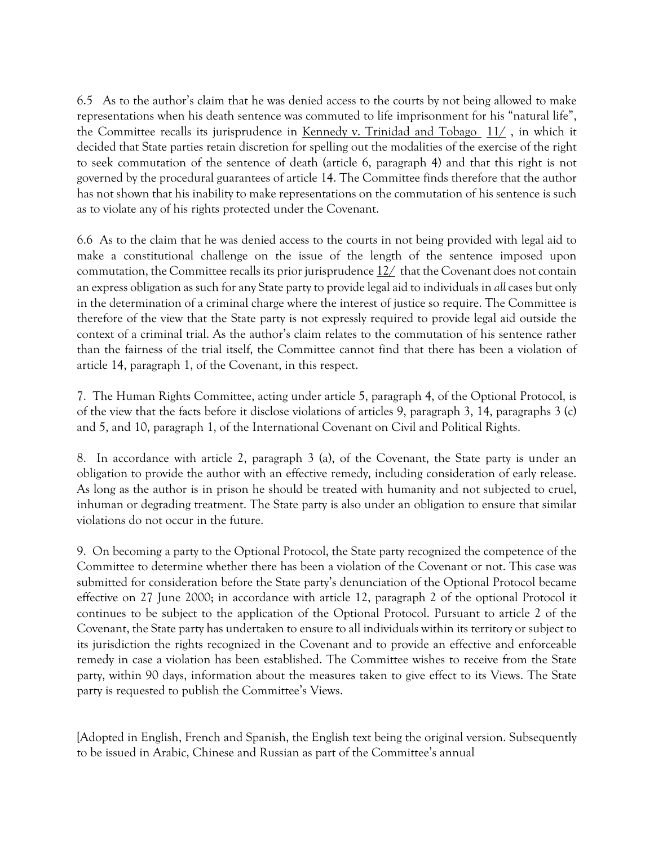6.5 As to the author's claim that he was denied access to the courts by not being allowed to make representations when his death sentence was commuted to life imprisonment for his "natural life", the Committee recalls its jurisprudence in Kennedy v. Trinidad and Tobago  $11/$ , in which it decided that State parties retain discretion for spelling out the modalities of the exercise of the right to seek commutation of the sentence of death (article 6, paragraph 4) and that this right is not governed by the procedural guarantees of article 14. The Committee finds therefore that the author has not shown that his inability to make representations on the commutation of his sentence is such as to violate any of his rights protected under the Covenant.

6.6 As to the claim that he was denied access to the courts in not being provided with legal aid to make a constitutional challenge on the issue of the length of the sentence imposed upon commutation, the Committee recalls its prior jurisprudence  $12/$  that the Covenant does not contain an express obligation as such for any State party to provide legal aid to individuals in all cases but only in the determination of a criminal charge where the interest of justice so require. The Committee is therefore of the view that the State party is not expressly required to provide legal aid outside the context of a criminal trial. As the author's claim relates to the commutation of his sentence rather than the fairness of the trial itself, the Committee cannot find that there has been a violation of article 14, paragraph 1, of the Covenant, in this respect.

7. The Human Rights Committee, acting under article 5, paragraph 4, of the Optional Protocol, is of the view that the facts before it disclose violations of articles 9, paragraph 3, 14, paragraphs 3 (c) and 5, and 10, paragraph 1, of the International Covenant on Civil and Political Rights.

8. In accordance with article 2, paragraph 3 (a), of the Covenant, the State party is under an obligation to provide the author with an effective remedy, including consideration of early release. As long as the author is in prison he should be treated with humanity and not subjected to cruel, inhuman or degrading treatment. The State party is also under an obligation to ensure that similar violations do not occur in the future.

9. On becoming a party to the Optional Protocol, the State party recognized the competence of the Committee to determine whether there has been a violation of the Covenant or not. This case was submitted for consideration before the State party's denunciation of the Optional Protocol became effective on 27 June 2000; in accordance with article 12, paragraph 2 of the optional Protocol it continues to be subject to the application of the Optional Protocol. Pursuant to article 2 of the Covenant, the State party has undertaken to ensure to all individuals within its territory or subject to its jurisdiction the rights recognized in the Covenant and to provide an effective and enforceable remedy in case a violation has been established. The Committee wishes to receive from the State party, within 90 days, information about the measures taken to give effect to its Views. The State party is requested to publish the Committee's Views.

[Adopted in English, French and Spanish, the English text being the original version. Subsequently to be issued in Arabic, Chinese and Russian as part of the Committee's annual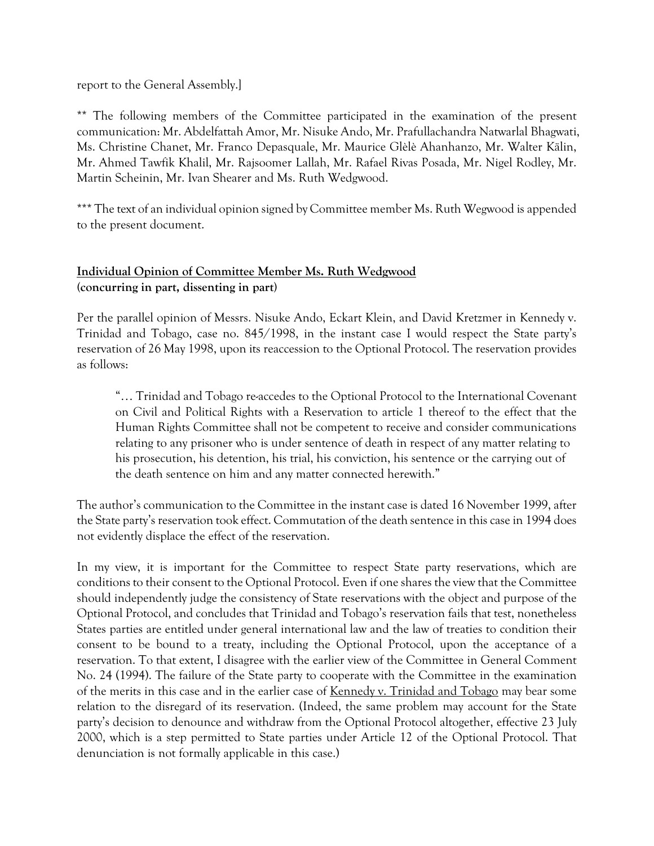report to the General Assembly.]

\*\* The following members of the Committee participated in the examination of the present communication: Mr. Abdelfattah Amor, Mr. Nisuke Ando, Mr. Prafullachandra Natwarlal Bhagwati, Ms. Christine Chanet, Mr. Franco Depasquale, Mr. Maurice Glèlè Ahanhanzo, Mr. Walter Kälin, Mr. Ahmed Tawfik Khalil, Mr. Rajsoomer Lallah, Mr. Rafael Rivas Posada, Mr. Nigel Rodley, Mr. Martin Scheinin, Mr. Ivan Shearer and Ms. Ruth Wedgwood.

\*\*\* The text of an individual opinion signed by Committee member Ms. Ruth Wegwood is appended to the present document.

## Individual Opinion of Committee Member Ms. Ruth Wedgwood (concurring in part, dissenting in part)

Per the parallel opinion of Messrs. Nisuke Ando, Eckart Klein, and David Kretzmer in Kennedy v. Trinidad and Tobago, case no. 845/1998, in the instant case I would respect the State party's reservation of 26 May 1998, upon its reaccession to the Optional Protocol. The reservation provides as follows:

"… Trinidad and Tobago re-accedes to the Optional Protocol to the International Covenant on Civil and Political Rights with a Reservation to article 1 thereof to the effect that the Human Rights Committee shall not be competent to receive and consider communications relating to any prisoner who is under sentence of death in respect of any matter relating to his prosecution, his detention, his trial, his conviction, his sentence or the carrying out of the death sentence on him and any matter connected herewith."

The author's communication to the Committee in the instant case is dated 16 November 1999, after the State party's reservation took effect. Commutation of the death sentence in this case in 1994 does not evidently displace the effect of the reservation.

In my view, it is important for the Committee to respect State party reservations, which are conditions to their consent to the Optional Protocol. Even if one shares the view that the Committee should independently judge the consistency of State reservations with the object and purpose of the Optional Protocol, and concludes that Trinidad and Tobago's reservation fails that test, nonetheless States parties are entitled under general international law and the law of treaties to condition their consent to be bound to a treaty, including the Optional Protocol, upon the acceptance of a reservation. To that extent, I disagree with the earlier view of the Committee in General Comment No. 24 (1994). The failure of the State party to cooperate with the Committee in the examination of the merits in this case and in the earlier case of Kennedy v. Trinidad and Tobago may bear some relation to the disregard of its reservation. (Indeed, the same problem may account for the State party's decision to denounce and withdraw from the Optional Protocol altogether, effective 23 July 2000, which is a step permitted to State parties under Article 12 of the Optional Protocol. That denunciation is not formally applicable in this case.)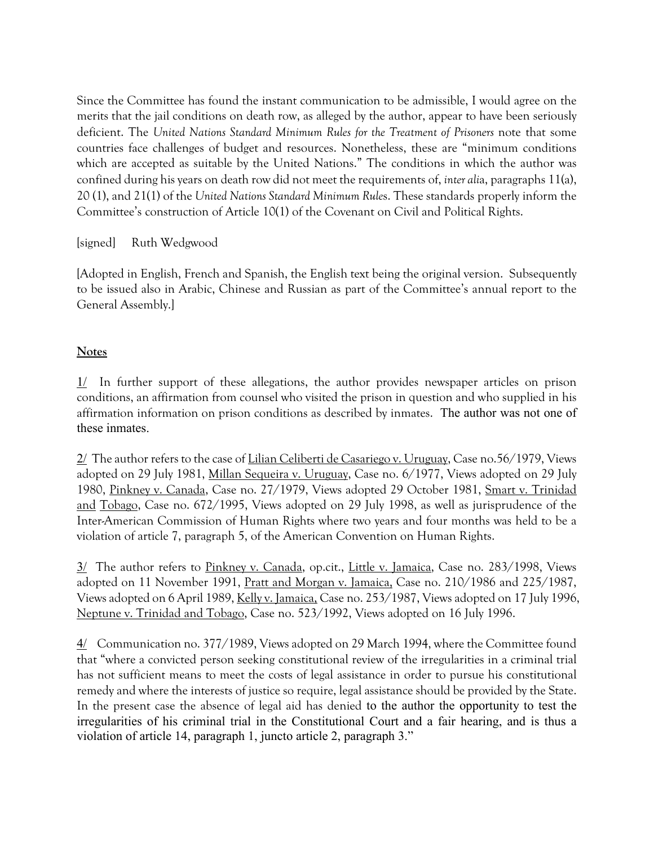Since the Committee has found the instant communication to be admissible, I would agree on the merits that the jail conditions on death row, as alleged by the author, appear to have been seriously deficient. The United Nations Standard Minimum Rules for the Treatment of Prisoners note that some countries face challenges of budget and resources. Nonetheless, these are "minimum conditions which are accepted as suitable by the United Nations." The conditions in which the author was confined during his years on death row did not meet the requirements of, inter alia, paragraphs 11(a), 20 (1), and 21(1) of the United Nations Standard Minimum Rules. These standards properly inform the Committee's construction of Article 10(1) of the Covenant on Civil and Political Rights.

## [signed] Ruth Wedgwood

[Adopted in English, French and Spanish, the English text being the original version. Subsequently to be issued also in Arabic, Chinese and Russian as part of the Committee's annual report to the General Assembly.]

# **Notes**

 $1/$  In further support of these allegations, the author provides newspaper articles on prison conditions, an affirmation from counsel who visited the prison in question and who supplied in his affirmation information on prison conditions as described by inmates. The author was not one of these inmates.

2/ The author refers to the case of Lilian Celiberti de Casariego v. Uruguay, Case no.56/1979, Views adopted on 29 July 1981, Millan Sequeira v. Uruguay, Case no. 6/1977, Views adopted on 29 July 1980, Pinkney v. Canada, Case no. 27/1979, Views adopted 29 October 1981, Smart v. Trinidad and Tobago, Case no. 672/1995, Views adopted on 29 July 1998, as well as jurisprudence of the Inter-American Commission of Human Rights where two years and four months was held to be a violation of article 7, paragraph 5, of the American Convention on Human Rights.

3/ The author refers to Pinkney v. Canada, op.cit., Little v. Jamaica, Case no. 283/1998, Views adopted on 11 November 1991, Pratt and Morgan v. Jamaica, Case no. 210/1986 and 225/1987, Views adopted on 6 April 1989, Kelly v. Jamaica, Case no. 253/1987, Views adopted on 17 July 1996, Neptune v. Trinidad and Tobago, Case no. 523/1992, Views adopted on 16 July 1996.

4/ Communication no. 377/1989, Views adopted on 29 March 1994, where the Committee found that "where a convicted person seeking constitutional review of the irregularities in a criminal trial has not sufficient means to meet the costs of legal assistance in order to pursue his constitutional remedy and where the interests of justice so require, legal assistance should be provided by the State. In the present case the absence of legal aid has denied to the author the opportunity to test the irregularities of his criminal trial in the Constitutional Court and a fair hearing, and is thus a violation of article 14, paragraph 1, juncto article 2, paragraph 3."